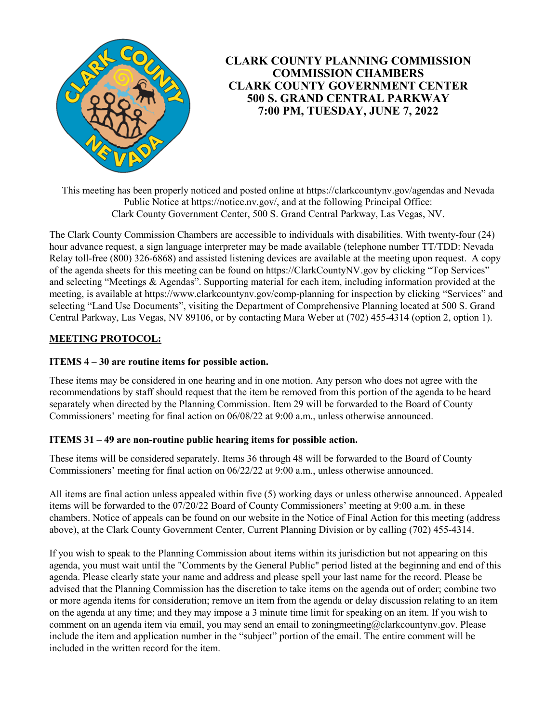

# **CLARK COUNTY PLANNING COMMISSION COMMISSION CHAMBERS CLARK COUNTY GOVERNMENT CENTER 500 S. GRAND CENTRAL PARKWAY 7:00 PM, TUESDAY, JUNE 7, 2022**

This meeting has been properly noticed and posted online at https://clarkcountynv.gov/agendas and Nevada Public Notice at https://notice.nv.gov/, and at the following Principal Office: Clark County Government Center, 500 S. Grand Central Parkway, Las Vegas, NV.

The Clark County Commission Chambers are accessible to individuals with disabilities. With twenty-four (24) hour advance request, a sign language interpreter may be made available (telephone number TT/TDD: Nevada Relay toll-free (800) 326-6868) and assisted listening devices are available at the meeting upon request. A copy of the agenda sheets for this meeting can be found on https://ClarkCountyNV.gov by clicking "Top Services" and selecting "Meetings & Agendas". Supporting material for each item, including information provided at the meeting, is available at https://www.clarkcountynv.gov/comp-planning for inspection by clicking "Services" and selecting "Land Use Documents", visiting the Department of Comprehensive Planning located at 500 S. Grand Central Parkway, Las Vegas, NV 89106, or by contacting Mara Weber at (702) 455-4314 (option 2, option 1).

# **MEETING PROTOCOL:**

## **ITEMS 4 – 30 are routine items for possible action.**

These items may be considered in one hearing and in one motion. Any person who does not agree with the recommendations by staff should request that the item be removed from this portion of the agenda to be heard separately when directed by the Planning Commission. Item 29 will be forwarded to the Board of County Commissioners' meeting for final action on 06/08/22 at 9:00 a.m., unless otherwise announced.

### **ITEMS 31 – 49 are non-routine public hearing items for possible action.**

These items will be considered separately. Items 36 through 48 will be forwarded to the Board of County Commissioners' meeting for final action on 06/22/22 at 9:00 a.m., unless otherwise announced.

All items are final action unless appealed within five (5) working days or unless otherwise announced. Appealed items will be forwarded to the 07/20/22 Board of County Commissioners' meeting at 9:00 a.m. in these chambers. Notice of appeals can be found on our website in the Notice of Final Action for this meeting (address above), at the Clark County Government Center, Current Planning Division or by calling (702) 455-4314.

If you wish to speak to the Planning Commission about items within its jurisdiction but not appearing on this agenda, you must wait until the "Comments by the General Public" period listed at the beginning and end of this agenda. Please clearly state your name and address and please spell your last name for the record. Please be advised that the Planning Commission has the discretion to take items on the agenda out of order; combine two or more agenda items for consideration; remove an item from the agenda or delay discussion relating to an item on the agenda at any time; and they may impose a 3 minute time limit for speaking on an item. If you wish to comment on an agenda item via email, you may send an email to zoningmeeting@clarkcountynv.gov. Please include the item and application number in the "subject" portion of the email. The entire comment will be included in the written record for the item.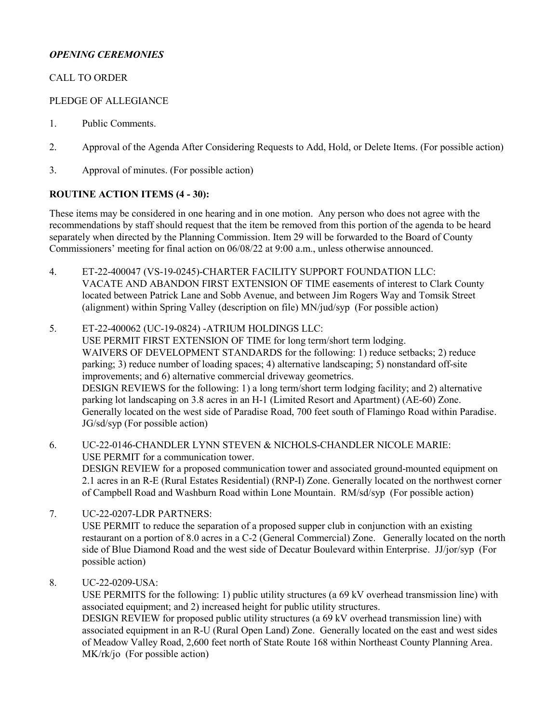## *OPENING CEREMONIES*

## CALL TO ORDER

#### PLEDGE OF ALLEGIANCE

- 1. [Public Comments.](http://clark.legistar.com/gateway.aspx?m=l&id=/matter.aspx?key=8972)
- 2. [Approval of the Agenda After Considering Requests to Add, Hold, or Delete Items. \(For possible action\)](http://clark.legistar.com/gateway.aspx?m=l&id=/matter.aspx?key=8973)
- 3. [Approval of minutes. \(For possible action\)](http://clark.legistar.com/gateway.aspx?m=l&id=/matter.aspx?key=8974)

### **ROUTINE ACTION ITEMS (4 - 30):**

These items may be considered in one hearing and in one motion. Any person who does not agree with the recommendations by staff should request that the item be removed from this portion of the agenda to be heard separately when directed by the Planning Commission. Item 29 will be forwarded to the Board of County Commissioners' meeting for final action on 06/08/22 at 9:00 a.m., unless otherwise announced.

- 4. ET-22-400047 (VS-19-0245)-CHARTER FACILITY SUPPORT FOUNDATION LLC: [VACATE AND ABANDON FIRST EXTENSION OF TIME easements of interest to Clark County](http://clark.legistar.com/gateway.aspx?m=l&id=/matter.aspx?key=8929)  located between Patrick Lane and Sobb Avenue, and between Jim Rogers Way and Tomsik Street (alignment) within Spring Valley (description on file) MN/jud/syp (For possible action)
- 5. ET-22-400062 (UC-19-0824) -ATRIUM HOLDINGS LLC: USE PERMIT FIRST EXTENSION OF TIME for long term/short term lodging. WAIVERS OF DEVELOPMENT STANDARDS for the following: 1) reduce setbacks; 2) reduce parking; 3) reduce number of loading spaces; 4) alternative landscaping; 5) nonstandard off-site improvements; and 6) alternative commercial driveway geometrics. DESIGN REVIEWS for the following: 1) a long term/short term lodging facility; and 2) alternative parking lot landscaping on 3.8 acres in an H-1 (Limited Resort and Apartment) (AE-60) Zone. [Generally located on the west side of Paradise Road, 700 feet south of Flamingo Road within Paradise.](http://clark.legistar.com/gateway.aspx?m=l&id=/matter.aspx?key=8930)  JG/sd/syp (For possible action)
- 6. UC-22-0146-CHANDLER LYNN STEVEN & NICHOLS-CHANDLER NICOLE MARIE: USE PERMIT for a communication tower. DESIGN REVIEW for a proposed communication tower and associated ground-mounted equipment on [2.1 acres in an R-E \(Rural Estates Residential\) \(RNP-I\) Zone. Generally located on the northwest corner](http://clark.legistar.com/gateway.aspx?m=l&id=/matter.aspx?key=8931)  of Campbell Road and Washburn Road within Lone Mountain. RM/sd/syp (For possible action)
- 7. UC-22-0207-LDR PARTNERS: USE PERMIT to reduce the separation of a proposed supper club in conjunction with an existing [restaurant on a portion of 8.0 acres in a C-2 \(General Commercial\) Zone. Generally located on the north](http://clark.legistar.com/gateway.aspx?m=l&id=/matter.aspx?key=8932)  side of Blue Diamond Road and the west side of Decatur Boulevard within Enterprise. JJ/jor/syp (For possible action)
- 8. UC-22-0209-USA:

[USE PERMITS for the following: 1\) public utility structures \(a 69 kV overhead transmission line\) with](http://clark.legistar.com/gateway.aspx?m=l&id=/matter.aspx?key=8933)  associated equipment; and 2) increased height for public utility structures.

DESIGN REVIEW for proposed public utility structures (a 69 kV overhead transmission line) with associated equipment in an R-U (Rural Open Land) Zone. Generally located on the east and west sides of Meadow Valley Road, 2,600 feet north of State Route 168 within Northeast County Planning Area. MK/rk/jo (For possible action)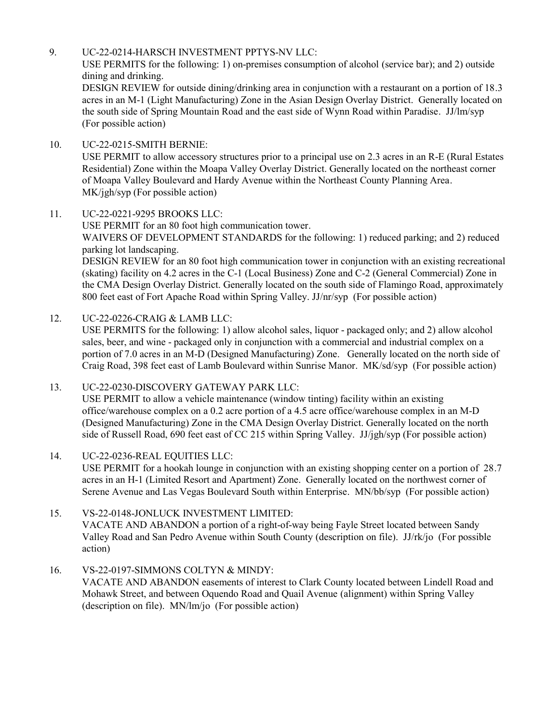#### 9. UC-22-0214-HARSCH INVESTMENT PPTYS-NV LLC:

USE PERMITS for the following: 1) on-premises consumption of alcohol (service bar); and 2) outside dining and drinking.

[DESIGN REVIEW for outside dining/drinking area in conjunction with a restaurant on a portion of 18.3](http://clark.legistar.com/gateway.aspx?m=l&id=/matter.aspx?key=8934)  acres in an M-1 (Light Manufacturing) Zone in the Asian Design Overlay District. Generally located on the south side of Spring Mountain Road and the east side of Wynn Road within Paradise. JJ/lm/syp (For possible action)

### 10. UC-22-0215-SMITH BERNIE:

[USE PERMIT to allow accessory structures prior to a principal use on 2.3 acres in an R-E \(Rural Estates](http://clark.legistar.com/gateway.aspx?m=l&id=/matter.aspx?key=8935)  Residential) Zone within the Moapa Valley Overlay District. Generally located on the northeast corner of Moapa Valley Boulevard and Hardy Avenue within the Northeast County Planning Area. MK/jgh/syp (For possible action)

#### 11. UC-22-0221-9295 BROOKS LLC:

USE PERMIT for an 80 foot high communication tower. WAIVERS OF DEVELOPMENT STANDARDS for the following: 1) reduced parking; and 2) reduced parking lot landscaping.

[DESIGN REVIEW for an 80 foot high communication tower in conjunction with an existing recreational](http://clark.legistar.com/gateway.aspx?m=l&id=/matter.aspx?key=8936)  (skating) facility on 4.2 acres in the C-1 (Local Business) Zone and C-2 (General Commercial) Zone in the CMA Design Overlay District. Generally located on the south side of Flamingo Road, approximately 800 feet east of Fort Apache Road within Spring Valley. JJ/nr/syp (For possible action)

### 12. UC-22-0226-CRAIG & LAMB LLC:

USE PERMITS for the following: 1) allow alcohol sales, liquor - packaged only; and 2) allow alcohol sales, beer, and wine - packaged only in conjunction with a commercial and industrial complex on a [portion of 7.0 acres in an M-D \(Designed Manufacturing\) Zone. Generally located on the north side of](http://clark.legistar.com/gateway.aspx?m=l&id=/matter.aspx?key=8937)  Craig Road, 398 feet east of Lamb Boulevard within Sunrise Manor. MK/sd/syp (For possible action)

#### 13. UC-22-0230-DISCOVERY GATEWAY PARK LLC: USE PERMIT to allow a vehicle maintenance (window tinting) facility within an existing office/warehouse complex on a 0.2 acre portion of a 4.5 acre office/warehouse complex in an M-D [\(Designed Manufacturing\) Zone in the CMA Design Overlay District. Generally located on the north](http://clark.legistar.com/gateway.aspx?m=l&id=/matter.aspx?key=8938)  side of Russell Road, 690 feet east of CC 215 within Spring Valley. JJ/jgh/syp (For possible action)

### 14. UC-22-0236-REAL EQUITIES LLC:

[USE PERMIT for a hookah lounge in conjunction with an existing shopping center on a portion of 28.7](http://clark.legistar.com/gateway.aspx?m=l&id=/matter.aspx?key=8939)  acres in an H-1 (Limited Resort and Apartment) Zone. Generally located on the northwest corner of Serene Avenue and Las Vegas Boulevard South within Enterprise. MN/bb/syp (For possible action)

### 15. VS-22-0148-JONLUCK INVESTMENT LIMITED:

VACATE AND ABANDON a portion of a right-of-way being Fayle Street located between Sandy [Valley Road and San Pedro Avenue within South County \(description on file\). JJ/rk/jo \(For possible](http://clark.legistar.com/gateway.aspx?m=l&id=/matter.aspx?key=8940)  action)

#### 16. VS-22-0197-SIMMONS COLTYN & MINDY:

[VACATE AND ABANDON easements of interest to Clark County located between Lindell Road and](http://clark.legistar.com/gateway.aspx?m=l&id=/matter.aspx?key=8975)  Mohawk Street, and between Oquendo Road and Quail Avenue (alignment) within Spring Valley (description on file). MN/lm/jo (For possible action)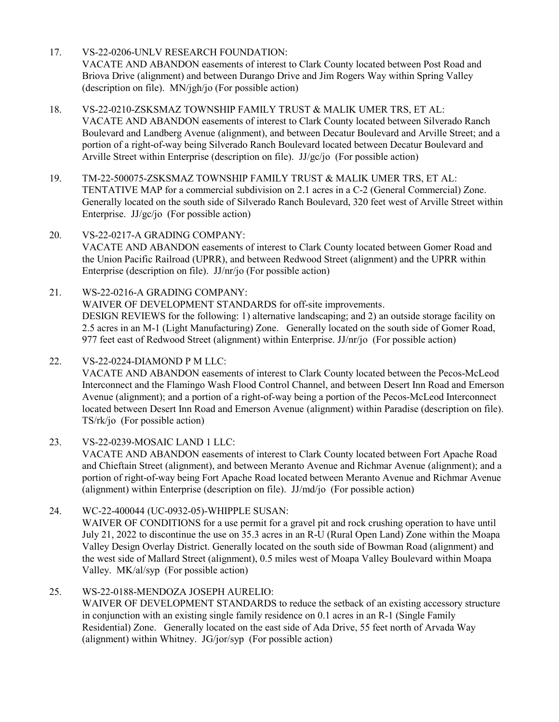- 17. VS-22-0206-UNLV RESEARCH FOUNDATION: [VACATE AND ABANDON easements of interest to Clark County located between Post Road and](http://clark.legistar.com/gateway.aspx?m=l&id=/matter.aspx?key=8941)  Briova Drive (alignment) and between Durango Drive and Jim Rogers Way within Spring Valley (description on file). MN/jgh/jo (For possible action)
- 18. VS-22-0210-ZSKSMAZ TOWNSHIP FAMILY TRUST & MALIK UMER TRS, ET AL: VACATE AND ABANDON easements of interest to Clark County located between Silverado Ranch [Boulevard and Landberg Avenue \(alignment\), and between Decatur Boulevard and Arville Street; and a](http://clark.legistar.com/gateway.aspx?m=l&id=/matter.aspx?key=8942)  portion of a right-of-way being Silverado Ranch Boulevard located between Decatur Boulevard and Arville Street within Enterprise (description on file). JJ/gc/jo (For possible action)
- 19. TM-22-500075-ZSKSMAZ TOWNSHIP FAMILY TRUST & MALIK UMER TRS, ET AL: TENTATIVE MAP for a commercial subdivision on 2.1 acres in a C-2 (General Commercial) Zone. [Generally located on the south side of Silverado Ranch Boulevard, 320 feet west of Arville Street within](http://clark.legistar.com/gateway.aspx?m=l&id=/matter.aspx?key=8943)  Enterprise. JJ/gc/jo (For possible action)
- 20. VS-22-0217-A GRADING COMPANY: [VACATE AND ABANDON easements of interest to Clark County located between Gomer Road and](http://clark.legistar.com/gateway.aspx?m=l&id=/matter.aspx?key=8944)  the Union Pacific Railroad (UPRR), and between Redwood Street (alignment) and the UPRR within Enterprise (description on file). JJ/nr/jo (For possible action)
- 21. WS-22-0216-A GRADING COMPANY: WAIVER OF DEVELOPMENT STANDARDS for off-site improvements. DESIGN REVIEWS for the following: 1) alternative landscaping; and 2) an outside storage facility on [2.5 acres in an M-1 \(Light Manufacturing\) Zone. Generally located on the south side of Gomer Road,](http://clark.legistar.com/gateway.aspx?m=l&id=/matter.aspx?key=8945)  977 feet east of Redwood Street (alignment) within Enterprise. JJ/nr/jo (For possible action)

22. VS-22-0224-DIAMOND P M LLC: VACATE AND ABANDON easements of interest to Clark County located between the Pecos-McLeod [Interconnect and the Flamingo Wash Flood Control Channel, and between Desert Inn Road and Emerson](http://clark.legistar.com/gateway.aspx?m=l&id=/matter.aspx?key=8946)  Avenue (alignment); and a portion of a right-of-way being a portion of the Pecos-McLeod Interconnect located between Desert Inn Road and Emerson Avenue (alignment) within Paradise (description on file). TS/rk/jo (For possible action)

23. VS-22-0239-MOSAIC LAND 1 LLC:

VACATE AND ABANDON easements of interest to Clark County located between Fort Apache Road [and Chieftain Street \(alignment\), and between Meranto Avenue and Richmar Avenue \(alignment\); and a](http://clark.legistar.com/gateway.aspx?m=l&id=/matter.aspx?key=8947)  portion of right-of-way being Fort Apache Road located between Meranto Avenue and Richmar Avenue (alignment) within Enterprise (description on file). JJ/md/jo (For possible action)

- 24. WC-22-400044 (UC-0932-05)-WHIPPLE SUSAN: WAIVER OF CONDITIONS for a use permit for a gravel pit and rock crushing operation to have until [July 21, 2022 to discontinue the use on 35.3 acres in an R-U \(Rural Open Land\) Zone within the Moapa](http://clark.legistar.com/gateway.aspx?m=l&id=/matter.aspx?key=8948)  Valley Design Overlay District. Generally located on the south side of Bowman Road (alignment) and the west side of Mallard Street (alignment), 0.5 miles west of Moapa Valley Boulevard within Moapa Valley. MK/al/syp (For possible action)
- 25. WS-22-0188-MENDOZA JOSEPH AURELIO:

WAIVER OF DEVELOPMENT STANDARDS to reduce the setback of an existing accessory structure in conjunction with an existing single family residence on 0.1 acres in an R-1 (Single Family Residential) Zone. Generally located on the east side of Ada Drive, 55 feet north of Arvada Way (alignment) within Whitney. JG/jor/syp (For possible action)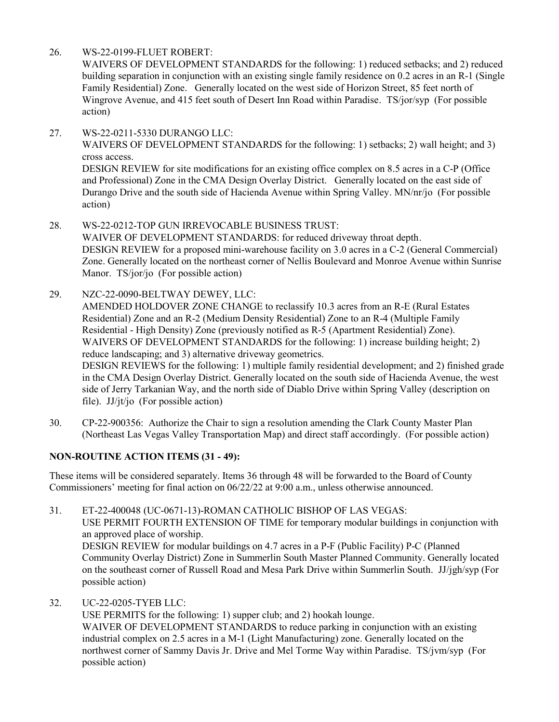26. WS-22-0199-FLUET ROBERT:

action)

WAIVERS OF DEVELOPMENT STANDARDS for the following: 1) reduced setbacks; and 2) reduced [building separation in conjunction with an existing single family residence on 0.2 acres in an R-1 \(Single](http://clark.legistar.com/gateway.aspx?m=l&id=/matter.aspx?key=8950)  Family Residential) Zone. Generally located on the west side of Horizon Street, 85 feet north of Wingrove Avenue, and 415 feet south of Desert Inn Road within Paradise. TS/jor/syp (For possible action)

27. WS-22-0211-5330 DURANGO LLC: [WAIVERS OF DEVELOPMENT STANDARDS for the following: 1\) setbacks; 2\) wall height; and 3\)](http://clark.legistar.com/gateway.aspx?m=l&id=/matter.aspx?key=8951)  cross access. DESIGN REVIEW for site modifications for an existing office complex on 8.5 acres in a C-P (Office and Professional) Zone in the CMA Design Overlay District. Generally located on the east side of Durango Drive and the south side of Hacienda Avenue within Spring Valley. MN/nr/jo (For possible

- 28. WS-22-0212-TOP GUN IRREVOCABLE BUSINESS TRUST: WAIVER OF DEVELOPMENT STANDARDS: for reduced driveway throat depth. DESIGN REVIEW for a proposed mini-warehouse facility on 3.0 acres in a C-2 (General Commercial) [Zone. Generally located on the northeast corner of Nellis Boulevard and Monroe Avenue within Sunrise](http://clark.legistar.com/gateway.aspx?m=l&id=/matter.aspx?key=8952)  Manor. TS/jor/jo (For possible action)
- 29. NZC-22-0090-BELTWAY DEWEY, LLC: AMENDED HOLDOVER ZONE CHANGE to reclassify 10.3 acres from an R-E (Rural Estates Residential) Zone and an R-2 (Medium Density Residential) Zone to an R-4 (Multiple Family Residential - High Density) Zone (previously notified as R-5 (Apartment Residential) Zone). WAIVERS OF DEVELOPMENT STANDARDS for the following: 1) increase building height; 2) reduce landscaping; and 3) alternative driveway geometrics. [DESIGN REVIEWS for the following: 1\) multiple family residential development; and 2\) finished grade](http://clark.legistar.com/gateway.aspx?m=l&id=/matter.aspx?key=8953)  in the CMA Design Overlay District. Generally located on the south side of Hacienda Avenue, the west side of Jerry Tarkanian Way, and the north side of Diablo Drive within Spring Valley (description on file). JJ/jt/jo (For possible action)
- 30. CP-22-900356: Authorize the Chair to sign a resolution amending the Clark County Master Plan [\(Northeast Las Vegas Valley Transportation Map\) and direct staff accordingly. \(For possible action\)](http://clark.legistar.com/gateway.aspx?m=l&id=/matter.aspx?key=8954)

### **NON-ROUTINE ACTION ITEMS (31 - 49):**

These items will be considered separately. Items 36 through 48 will be forwarded to the Board of County Commissioners' meeting for final action on 06/22/22 at 9:00 a.m., unless otherwise announced.

- 31. ET-22-400048 (UC-0671-13)-ROMAN CATHOLIC BISHOP OF LAS VEGAS: USE PERMIT FOURTH EXTENSION OF TIME for temporary modular buildings in conjunction with an approved place of worship. DESIGN REVIEW for modular buildings on 4.7 acres in a P-F (Public Facility) P-C (Planned [Community Overlay District\) Zone in Summerlin South Master Planned Community. Generally located](http://clark.legistar.com/gateway.aspx?m=l&id=/matter.aspx?key=8955)  on the southeast corner of Russell Road and Mesa Park Drive within Summerlin South. JJ/jgh/syp (For possible action)
- 32. UC-22-0205-TYEB LLC:

USE PERMITS for the following: 1) supper club; and 2) hookah lounge. WAIVER OF DEVELOPMENT STANDARDS to reduce parking in conjunction with an existing industrial complex on 2.5 acres in a M-1 (Light Manufacturing) zone. Generally located on the [northwest corner of Sammy Davis Jr. Drive and Mel Torme Way within Paradise. TS/jvm/syp \(For](http://clark.legistar.com/gateway.aspx?m=l&id=/matter.aspx?key=8956)  possible action)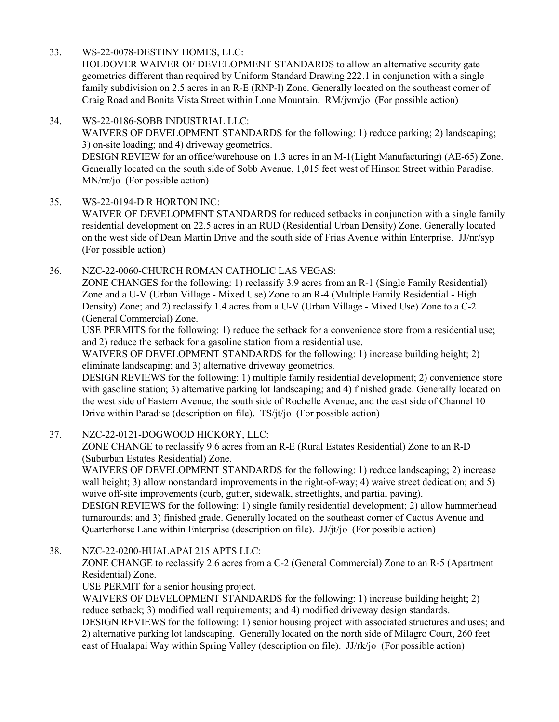33. WS-22-0078-DESTINY HOMES, LLC:

HOLDOVER WAIVER OF DEVELOPMENT STANDARDS to allow an alternative security gate geometrics different than required by Uniform Standard Drawing 222.1 in conjunction with a single [family subdivision on 2.5 acres in an R-E \(RNP-I\) Zone. Generally located on the southeast corner of](http://clark.legistar.com/gateway.aspx?m=l&id=/matter.aspx?key=8957)  Craig Road and Bonita Vista Street within Lone Mountain. RM/jvm/jo (For possible action)

#### 34. WS-22-0186-SOBB INDUSTRIAL LLC:

WAIVERS OF DEVELOPMENT STANDARDS for the following: 1) reduce parking; 2) landscaping; 3) on-site loading; and 4) driveway geometrics. [DESIGN REVIEW for an office/warehouse on 1.3 acres in an M-1\(Light Manufacturing\) \(AE-65\) Zone.](http://clark.legistar.com/gateway.aspx?m=l&id=/matter.aspx?key=8958)  Generally located on the south side of Sobb Avenue, 1,015 feet west of Hinson Street within Paradise. MN/nr/jo (For possible action)

#### 35. WS-22-0194-D R HORTON INC:

WAIVER OF DEVELOPMENT STANDARDS for reduced setbacks in conjunction with a single family residential development on 22.5 acres in an RUD (Residential Urban Density) Zone. Generally located on the west side of Dean Martin Drive and the south side of Frias Avenue within Enterprise. JJ/nr/syp (For possible action)

36. NZC-22-0060-CHURCH ROMAN CATHOLIC LAS VEGAS:

ZONE CHANGES for the following: 1) reclassify 3.9 acres from an R-1 (Single Family Residential) Zone and a U-V (Urban Village - Mixed Use) Zone to an R-4 (Multiple Family Residential - High Density) Zone; and 2) reclassify 1.4 acres from a U-V (Urban Village - Mixed Use) Zone to a C-2 (General Commercial) Zone.

USE PERMITS for the following: 1) reduce the setback for a convenience store from a residential use; and 2) reduce the setback for a gasoline station from a residential use.

WAIVERS OF DEVELOPMENT STANDARDS for the following: 1) increase building height; 2) eliminate landscaping; and 3) alternative driveway geometrics.

[DESIGN REVIEWS for the following: 1\) multiple family residential development; 2\) convenience store](http://clark.legistar.com/gateway.aspx?m=l&id=/matter.aspx?key=8960)  with gasoline station; 3) alternative parking lot landscaping; and 4) finished grade. Generally located on the west side of Eastern Avenue, the south side of Rochelle Avenue, and the east side of Channel 10 Drive within Paradise (description on file). TS/jt/jo (For possible action)

### 37. NZC-22-0121-DOGWOOD HICKORY, LLC:

ZONE CHANGE to reclassify 9.6 acres from an R-E (Rural Estates Residential) Zone to an R-D (Suburban Estates Residential) Zone.

WAIVERS OF DEVELOPMENT STANDARDS for the following: 1) reduce landscaping; 2) increase wall height; 3) allow nonstandard improvements in the right-of-way; 4) waive street dedication; and 5) waive off-site improvements (curb, gutter, sidewalk, streetlights, and partial paving).

[DESIGN REVIEWS for the following: 1\) single family residential development; 2\) allow hammerhead](http://clark.legistar.com/gateway.aspx?m=l&id=/matter.aspx?key=8961)  turnarounds; and 3) finished grade. Generally located on the southeast corner of Cactus Avenue and Quarterhorse Lane within Enterprise (description on file). JJ/jt/jo (For possible action)

38. NZC-22-0200-HUALAPAI 215 APTS LLC:

ZONE CHANGE to reclassify 2.6 acres from a C-2 (General Commercial) Zone to an R-5 (Apartment Residential) Zone.

USE PERMIT for a senior housing project.

WAIVERS OF DEVELOPMENT STANDARDS for the following: 1) increase building height; 2) reduce setback; 3) modified wall requirements; and 4) modified driveway design standards.

[DESIGN REVIEWS for the following: 1\) senior housing project with associated structures and uses; and](http://clark.legistar.com/gateway.aspx?m=l&id=/matter.aspx?key=8962)  2) alternative parking lot landscaping. Generally located on the north side of Milagro Court, 260 feet east of Hualapai Way within Spring Valley (description on file). JJ/rk/jo (For possible action)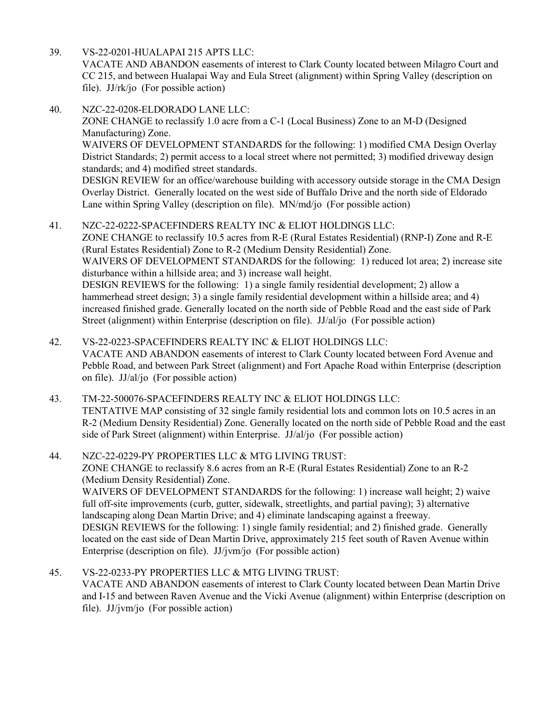- 39. VS-22-0201-HUALAPAI 215 APTS LLC: [VACATE AND ABANDON easements of interest to Clark County located between Milagro Court and](http://clark.legistar.com/gateway.aspx?m=l&id=/matter.aspx?key=8963)  CC 215, and between Hualapai Way and Eula Street (alignment) within Spring Valley (description on file). JJ/rk/jo (For possible action)
- 40. NZC-22-0208-ELDORADO LANE LLC:

ZONE CHANGE to reclassify 1.0 acre from a C-1 (Local Business) Zone to an M-D (Designed Manufacturing) Zone.

WAIVERS OF DEVELOPMENT STANDARDS for the following: 1) modified CMA Design Overlay District Standards; 2) permit access to a local street where not permitted; 3) modified driveway design standards; and 4) modified street standards.

[DESIGN REVIEW for an office/warehouse building with accessory outside storage in the CMA Design](http://clark.legistar.com/gateway.aspx?m=l&id=/matter.aspx?key=8964)  Overlay District. Generally located on the west side of Buffalo Drive and the north side of Eldorado Lane within Spring Valley (description on file). MN/md/jo (For possible action)

#### 41. NZC-22-0222-SPACEFINDERS REALTY INC & ELIOT HOLDINGS LLC:

ZONE CHANGE to reclassify 10.5 acres from R-E (Rural Estates Residential) (RNP-I) Zone and R-E (Rural Estates Residential) Zone to R-2 (Medium Density Residential) Zone. [WAIVERS OF DEVELOPMENT STANDARDS for the following: 1\) reduced lot area; 2\) increase site](http://clark.legistar.com/gateway.aspx?m=l&id=/matter.aspx?key=8965)  disturbance within a hillside area; and 3) increase wall height. DESIGN REVIEWS for the following: 1) a single family residential development; 2) allow a hammerhead street design; 3) a single family residential development within a hillside area; and 4) increased finished grade. Generally located on the north side of Pebble Road and the east side of Park Street (alignment) within Enterprise (description on file). JJ/al/jo (For possible action)

- 42. VS-22-0223-SPACEFINDERS REALTY INC & ELIOT HOLDINGS LLC: VACATE AND ABANDON easements of interest to Clark County located between Ford Avenue and [Pebble Road, and between Park Street \(alignment\) and Fort Apache Road within Enterprise \(description](http://clark.legistar.com/gateway.aspx?m=l&id=/matter.aspx?key=8966)  on file). JJ/al/jo (For possible action)
- 43. TM-22-500076-SPACEFINDERS REALTY INC & ELIOT HOLDINGS LLC: TENTATIVE MAP consisting of 32 single family residential lots and common lots on 10.5 acres in an [R-2 \(Medium Density Residential\) Zone. Generally located on the north side of Pebble Road and the east](http://clark.legistar.com/gateway.aspx?m=l&id=/matter.aspx?key=8976)  side of Park Street (alignment) within Enterprise. JJ/al/jo (For possible action)

#### 44. NZC-22-0229-PY PROPERTIES LLC & MTG LIVING TRUST: ZONE CHANGE to reclassify 8.6 acres from an R-E (Rural Estates Residential) Zone to an R-2 (Medium Density Residential) Zone. [WAIVERS OF DEVELOPMENT STANDARDS for the following: 1\) increase wall height; 2\) waive](http://clark.legistar.com/gateway.aspx?m=l&id=/matter.aspx?key=8967)  full off-site improvements (curb, gutter, sidewalk, streetlights, and partial paving); 3) alternative landscaping along Dean Martin Drive; and 4) eliminate landscaping against a freeway. DESIGN REVIEWS for the following: 1) single family residential; and 2) finished grade. Generally located on the east side of Dean Martin Drive, approximately 215 feet south of Raven Avenue within Enterprise (description on file). JJ/jvm/jo (For possible action)

45. VS-22-0233-PY PROPERTIES LLC & MTG LIVING TRUST: VACATE AND ABANDON easements of interest to Clark County located between Dean Martin Drive [and I-15 and between Raven Avenue and the Vicki Avenue \(alignment\) within Enterprise \(description on](http://clark.legistar.com/gateway.aspx?m=l&id=/matter.aspx?key=8968)  file). JJ/jvm/jo (For possible action)